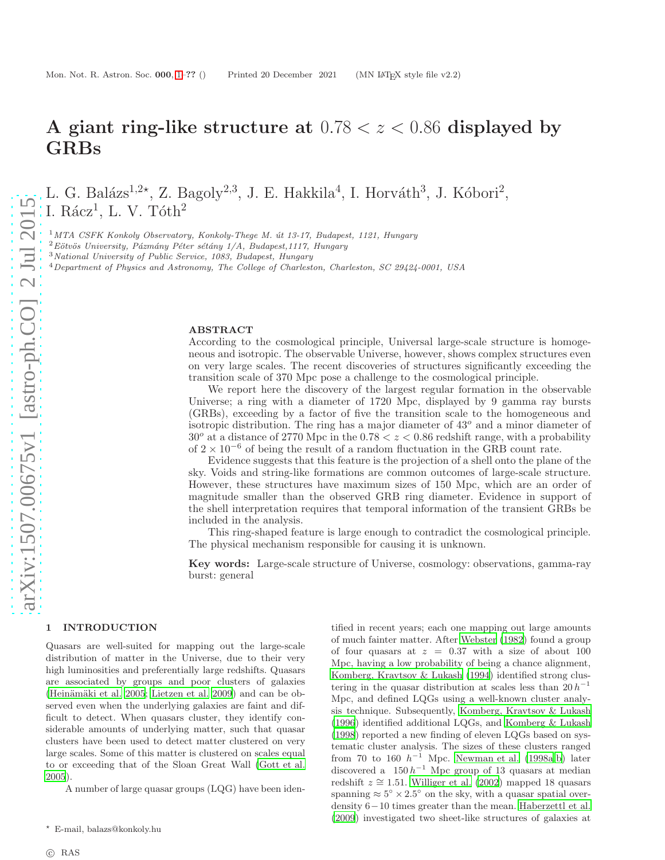# A giant ring-like structure at  $0.78 < z < 0.86$  displayed by GRBs

L. G. Balázs<sup>1,2\*</sup>, Z. Bagoly<sup>2,3</sup>, J. E. Hakkila<sup>4</sup>, I. Horváth<sup>3</sup>, J. Kóbori<sup>2</sup>, I. Rácz $^1$ , L. V. Tóth $^2$ 

 $1$ MTA CSFK Konkoly Observatory, Konkoly-Thege M. út 13-17, Budapest, 1121, Hungary

 $2$ Eötvös University, Pázmány Péter sétány 1/A, Budapest,1117, Hungary

<sup>3</sup>National University of Public Service, 1083, Budapest, Hungary

<sup>4</sup>Department of Physics and Astronomy, The College of Charleston, Charleston, SC 29424-0001, USA

# ABSTRACT

According to the cosmological principle, Universal large-scale structure is homogeneous and isotropic. The observable Universe, however, shows complex structures even on very large scales. The recent discoveries of structures significantly exceeding the transition scale of 370 Mpc pose a challenge to the cosmological principle.

We report here the discovery of the largest regular formation in the observable Universe; a ring with a diameter of 1720 Mpc, displayed by 9 gamma ray bursts (GRBs), exceeding by a factor of five the transition scale to the homogeneous and isotropic distribution. The ring has a major diameter of  $43^\circ$  and a minor diameter of  $30^{\circ}$  at a distance of 2770 Mpc in the  $0.78 < z < 0.86$  redshift range, with a probability of  $2 \times 10^{-6}$  of being the result of a random fluctuation in the GRB count rate.

Evidence suggests that this feature is the projection of a shell onto the plane of the sky. Voids and string-like formations are common outcomes of large-scale structure. However, these structures have maximum sizes of 150 Mpc, which are an order of magnitude smaller than the observed GRB ring diameter. Evidence in support of the shell interpretation requires that temporal information of the transient GRBs be included in the analysis.

This ring-shaped feature is large enough to contradict the cosmological principle. The physical mechanism responsible for causing it is unknown.

Key words: Large-scale structure of Universe, cosmology: observations, gamma-ray burst: general

> tified in recent years; each one mapping out large amounts of much fainter matter. After [Webster \(1982](#page-11-3)) found a group of four quasars at  $z = 0.37$  with a size of about 100 Mpc, having a low probability of being a chance alignment, [Komberg, Kravtsov & Lukash \(1994\)](#page-11-4) identified strong clustering in the quasar distribution at scales less than  $20 h^{-1}$ Mpc, and defined LQGs using a well-known cluster analysis technique. Subsequently, [Komberg, Kravtsov & Lukash](#page-11-5) [\(1996](#page-11-5)) identified additional LQGs, and [Komberg & Lukash](#page-11-6) [\(1998](#page-11-6)) reported a new finding of eleven LQGs based on systematic cluster analysis. The sizes of these clusters ranged from 70 to 160  $h^{-1}$  Mpc. [Newman et al. \(1998a](#page-11-7)[,b](#page-11-8)) later discovered a  $150 h^{-1}$  Mpc group of 13 quasars at median redshift  $z \approx 1.51$ . [Williger et al. \(2002](#page-11-9)) mapped 18 quasars spanning  $\approx 5^{\circ} \times 2.5^{\circ}$  on the sky, with a quasar spatial overdensity 6−10 times greater than the mean. [Haberzettl et al.](#page-11-10) [\(2009](#page-11-10)) investigated two sheet-like structures of galaxies at

## <span id="page-0-0"></span>1 INTRODUCTION

Quasars are well-suited for mapping out the large-scale distribution of matter in the Universe, due to their very high luminosities and preferentially large redshifts. Quasars are associated by groups and poor clusters of galaxies (Heinämäki et al. 2005; [Lietzen et al. 2009](#page-11-1)) and can be observed even when the underlying galaxies are faint and difficult to detect. When quasars cluster, they identify considerable amounts of underlying matter, such that quasar clusters have been used to detect matter clustered on very large scales. Some of this matter is clustered on scales equal to or exceeding that of the Sloan Great Wall [\(Gott et al.](#page-11-2) [2005](#page-11-2)).

A number of large quasar groups (LQG) have been iden-

<sup>⋆</sup> E-mail, balazs@konkoly.hu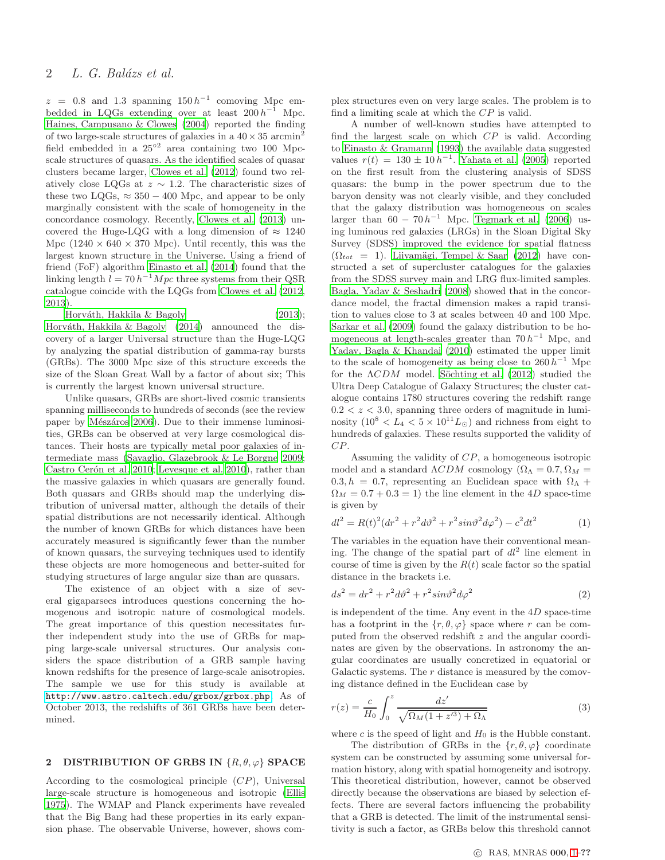# 2 L. G. Balázs et al.

 $z = 0.8$  and 1.3 spanning 150  $h^{-1}$  comoving Mpc embedded in LQGs extending over at least  $200 h^{-1}$  Mpc. [Haines, Campusano & Clowes \(2004](#page-11-11)) reported the finding of two large-scale structures of galaxies in a  $40 \times 35$  arcmin<sup>2</sup> field embedded in a 25<sup>°2</sup> area containing two 100 Mpcscale structures of quasars. As the identified scales of quasar clusters became larger, [Clowes et al. \(2012](#page-10-0)) found two relatively close LQGs at  $z \sim 1.2$ . The characteristic sizes of these two LQGs,  $\approx 350 - 400$  Mpc, and appear to be only marginally consistent with the scale of homogeneity in the concordance cosmology. Recently, [Clowes et al. \(2013](#page-10-1)) uncovered the Huge-LQG with a long dimension of  $\approx 1240$ Mpc  $(1240 \times 640 \times 370 \text{ Mpc})$ . Until recently, this was the largest known structure in the Universe. Using a friend of friend (FoF) algorithm [Einasto et al. \(2014\)](#page-11-12) found that the linking length  $l = 70 h^{-1} Mpc$  three systems from their QSR catalogue coincide with the LQGs from [Clowes et al. \(2012,](#page-10-0) [2013](#page-10-1)).

Horváth, Hakkila & Bagoly (2013); Horváth, Hakkila  $&$  Bagoly (2014) announced the discovery of a larger Universal structure than the Huge-LQG by analyzing the spatial distribution of gamma-ray bursts (GRBs). The 3000 Mpc size of this structure exceeds the size of the Sloan Great Wall by a factor of about six; This is currently the largest known universal structure.

Unlike quasars, GRBs are short-lived cosmic transients spanning milliseconds to hundreds of seconds (see the review paper by Mészáros 2006). Due to their immense luminosities, GRBs can be observed at very large cosmological distances. Their hosts are typically metal poor galaxies of intermediate mass [\(Savaglio, Glazebrook & Le Borgne 2009;](#page-11-16) Castro Cerón et al. 2010; [Levesque et al. 2010\)](#page-11-17), rather than the massive galaxies in which quasars are generally found. Both quasars and GRBs should map the underlying distribution of universal matter, although the details of their spatial distributions are not necessarily identical. Although the number of known GRBs for which distances have been accurately measured is significantly fewer than the number of known quasars, the surveying techniques used to identify these objects are more homogeneous and better-suited for studying structures of large angular size than are quasars.

The existence of an object with a size of several gigaparsecs introduces questions concerning the homogenous and isotropic nature of cosmological models. The great importance of this question necessitates further independent study into the use of GRBs for mapping large-scale universal structures. Our analysis considers the space distribution of a GRB sample having known redshifts for the presence of large-scale anisotropies. The sample we use for this study is available at <http://www.astro.caltech.edu/grbox/grbox.php>. As of October 2013, the redshifts of 361 GRBs have been determined.

#### 2 DISTRIBUTION OF GRBS IN  $\{R, \theta, \varphi\}$  SPACE

According to the cosmological principle (CP), Universal large-scale structure is homogeneous and isotropic [\(Ellis](#page-11-18) [1975](#page-11-18)). The WMAP and Planck experiments have revealed that the Big Bang had these properties in its early expansion phase. The observable Universe, however, shows complex structures even on very large scales. The problem is to find a limiting scale at which the  ${\cal CP}$  is valid.

A number of well-known studies have attempted to find the largest scale on which CP is valid. According to [Einasto & Gramann \(1993](#page-11-19)) the available data suggested values  $r(t) = 130 \pm 10 h^{-1}$ . [Yahata et al. \(2005](#page-11-20)) reported on the first result from the clustering analysis of SDSS quasars: the bump in the power spectrum due to the baryon density was not clearly visible, and they concluded that the galaxy distribution was homogeneous on scales larger than  $60 - 70 h^{-1}$  Mpc. [Tegmark et al. \(2006](#page-11-21)) using luminous red galaxies (LRGs) in the Sloan Digital Sky Survey (SDSS) improved the evidence for spatial flatness  $(\Omega_{tot} = 1)$ . Liivamägi, Tempel & Saar (2012) have constructed a set of supercluster catalogues for the galaxies from the SDSS survey main and LRG flux-limited samples. [Bagla, Yadav & Seshadri \(2008\)](#page-10-3) showed that in the concordance model, the fractal dimension makes a rapid transition to values close to 3 at scales between 40 and 100 Mpc. [Sarkar et al. \(2009\)](#page-11-23) found the galaxy distribution to be homogeneous at length-scales greater than  $70 h^{-1}$  Mpc, and [Yadav, Bagla & Khandai \(2010](#page-11-24)) estimated the upper limit to the scale of homogeneity as being close to  $260 h^{-1}$  Mpc for the  $\Lambda CDM$  model. Söchting et al. (2012) studied the Ultra Deep Catalogue of Galaxy Structures; the cluster catalogue contains 1780 structures covering the redshift range  $0.2 < z < 3.0$ , spanning three orders of magnitude in luminosity  $(10^8 < L_4 < 5 \times 10^{11} L_{\odot})$  and richness from eight to hundreds of galaxies. These results supported the validity of CP.

Assuming the validity of CP, a homogeneous isotropic model and a standard  $\Lambda CDM$  cosmology ( $\Omega_{\Lambda} = 0.7, \Omega_M =$ 0.3,  $h = 0.7$ , representing an Euclidean space with  $\Omega_{\Lambda}$  +  $\Omega_M = 0.7 + 0.3 = 1$ ) the line element in the 4D space-time is given by

$$
dl^{2} = R(t)^{2} (dr^{2} + r^{2} d\vartheta^{2} + r^{2} sin\vartheta^{2} d\varphi^{2}) - c^{2} dt^{2}
$$
 (1)

The variables in the equation have their conventional meaning. The change of the spatial part of  $dl^2$  line element in course of time is given by the  $R(t)$  scale factor so the spatial distance in the brackets i.e.

$$
ds^2 = dr^2 + r^2 d\vartheta^2 + r^2 sin\vartheta^2 d\varphi^2 \tag{2}
$$

is independent of the time. Any event in the  $4D$  space-time has a footprint in the  $\{r, \theta, \varphi\}$  space where r can be computed from the observed redshift z and the angular coordinates are given by the observations. In astronomy the angular coordinates are usually concretized in equatorial or Galactic systems. The  $r$  distance is measured by the comoving distance defined in the Euclidean case by

$$
r(z) = \frac{c}{H_0} \int_0^z \frac{dz'}{\sqrt{\Omega_M(1 + z'^3) + \Omega_\Lambda}}\tag{3}
$$

where c is the speed of light and  $H_0$  is the Hubble constant.

The distribution of GRBs in the  $\{r, \theta, \varphi\}$  coordinate system can be constructed by assuming some universal formation history, along with spatial homogeneity and isotropy. This theoretical distribution, however, cannot be observed directly because the observations are biased by selection effects. There are several factors influencing the probability that a GRB is detected. The limit of the instrumental sensitivity is such a factor, as GRBs below this threshold cannot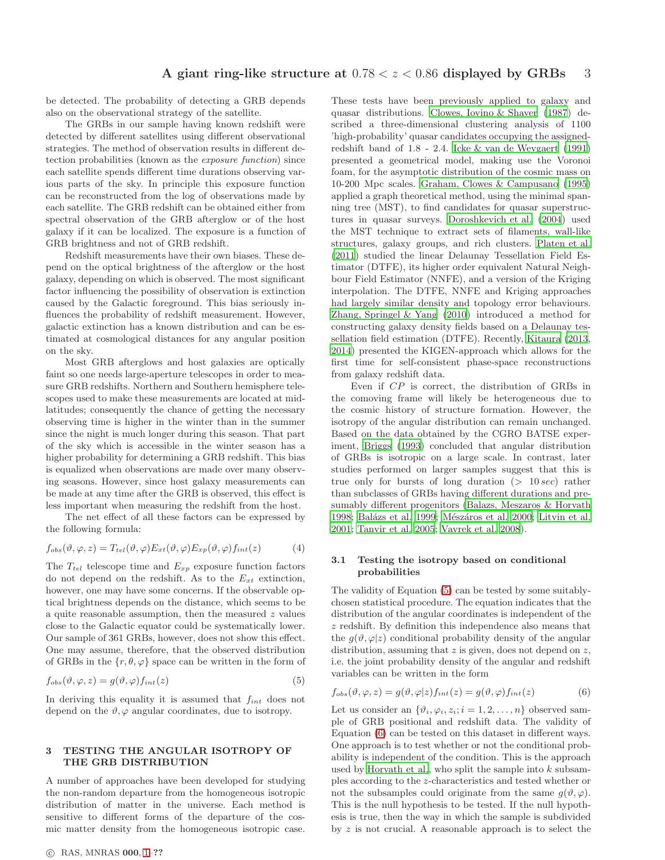be detected. The probability of detecting a GRB depends also on the observational strategy of the satellite.

The GRBs in our sample having known redshift were detected by different satellites using different observational strategies. The method of observation results in different detection probabilities (known as the exposure function) since each satellite spends different time durations observing various parts of the sky. In principle this exposure function can be reconstructed from the log of observations made by each satellite. The GRB redshift can be obtained either from spectral observation of the GRB afterglow or of the host galaxy if it can be localized. The exposure is a function of GRB brightness and not of GRB redshift.

Redshift measurements have their own biases. These depend on the optical brightness of the afterglow or the host galaxy, depending on which is observed. The most significant factor influencing the possibility of observation is extinction caused by the Galactic foreground. This bias seriously influences the probability of redshift measurement. However, galactic extinction has a known distribution and can be estimated at cosmological distances for any angular position on the sky.

Most GRB afterglows and host galaxies are optically faint so one needs large-aperture telescopes in order to measure GRB redshifts. Northern and Southern hemisphere telescopes used to make these measurements are located at midlatitudes; consequently the chance of getting the necessary observing time is higher in the winter than in the summer since the night is much longer during this season. That part of the sky which is accessible in the winter season has a higher probability for determining a GRB redshift. This bias is equalized when observations are made over many observing seasons. However, since host galaxy measurements can be made at any time after the GRB is observed, this effect is less important when measuring the redshift from the host.

The net effect of all these factors can be expressed by the following formula:

$$
f_{obs}(\vartheta, \varphi, z) = T_{tel}(\vartheta, \varphi) E_{xt}(\vartheta, \varphi) E_{xp}(\vartheta, \varphi) f_{int}(z)
$$
(4)

The  $T_{tel}$  telescope time and  $E_{xp}$  exposure function factors do not depend on the redshift. As to the  $E_{xt}$  extinction, however, one may have some concerns. If the observable optical brightness depends on the distance, which seems to be a quite reasonable assumption, then the measured  $z$  values close to the Galactic equator could be systematically lower. Our sample of 361 GRBs, however, does not show this effect. One may assume, therefore, that the observed distribution of GRBs in the  $\{r, \theta, \varphi\}$  space can be written in the form of

<span id="page-2-0"></span>
$$
f_{obs}(\vartheta, \varphi, z) = g(\vartheta, \varphi) f_{int}(z)
$$
\n(5)

In deriving this equality it is assumed that  $f_{int}$  does not depend on the  $\vartheta$ ,  $\varphi$  angular coordinates, due to isotropy.

# 3 TESTING THE ANGULAR ISOTROPY OF THE GRB DISTRIBUTION

A number of approaches have been developed for studying the non-random departure from the homogeneous isotropic distribution of matter in the universe. Each method is sensitive to different forms of the departure of the cosmic matter density from the homogeneous isotropic case. These tests have been previously applied to galaxy and quasar distributions. [Clowes, Iovino & Shaver \(1987](#page-10-4)) described a three-dimensional clustering analysis of 1100 'high-probability' quasar candidates occupying the assignedredshift band of 1.8 - 2.4. [Icke & van de Weygaert \(1991](#page-11-26)) presented a geometrical model, making use the Voronoi foam, for the asymptotic distribution of the cosmic mass on 10-200 Mpc scales. [Graham, Clowes & Campusano \(1995](#page-11-27)) applied a graph theoretical method, using the minimal spanning tree (MST), to find candidates for quasar superstructures in quasar surveys. [Doroshkevich et al. \(2004](#page-10-5)) used the MST technique to extract sets of filaments, wall-like structures, galaxy groups, and rich clusters. [Platen et al.](#page-11-28) [\(2011](#page-11-28)) studied the linear Delaunay Tessellation Field Estimator (DTFE), its higher order equivalent Natural Neighbour Field Estimator (NNFE), and a version of the Kriging interpolation. The DTFE, NNFE and Kriging approaches had largely similar density and topology error behaviours. [Zhang, Springel & Yang \(2010\)](#page-11-29) introduced a method for constructing galaxy density fields based on a Delaunay tessellation field estimation (DTFE). Recently, [Kitaura \(2013](#page-11-30), [2014](#page-11-31)) presented the KIGEN-approach which allows for the first time for self-consistent phase-space reconstructions from galaxy redshift data.

Even if CP is correct, the distribution of GRBs in the comoving frame will likely be heterogeneous due to the cosmic history of structure formation. However, the isotropy of the angular distribution can remain unchanged. Based on the data obtained by the CGRO BATSE experiment, [Briggs \(1993](#page-10-6)) concluded that angular distribution of GRBs is isotropic on a large scale. In contrast, later studies performed on larger samples suggest that this is true only for bursts of long duration  $(> 10 sec)$  rather than subclasses of GRBs having different durations and presumably different progenitors [\(Balazs, Meszaros & Horvath](#page-10-7) [1998](#page-10-7); Balázs et al. 1999; Mészáros et al. 2000; [Litvin et al.](#page-11-33) [2001](#page-11-33); [Tanvir et al. 2005](#page-11-34); [Vavrek et al. 2008](#page-11-35)).

# 3.1 Testing the isotropy based on conditional probabilities

The validity of Equation [\(5\)](#page-2-0) can be tested by some suitablychosen statistical procedure. The equation indicates that the distribution of the angular coordinates is independent of the z redshift. By definition this independence also means that the  $g(\vartheta, \varphi|z)$  conditional probability density of the angular distribution, assuming that  $z$  is given, does not depend on  $z$ , i.e. the joint probability density of the angular and redshift variables can be written in the form

<span id="page-2-1"></span>
$$
f_{obs}(\vartheta, \varphi, z) = g(\vartheta, \varphi|z) f_{int}(z) = g(\vartheta, \varphi) f_{int}(z)
$$
(6)

Let us consider an  $\{\vartheta_i, \varphi_i, z_i; i = 1, 2, \ldots, n\}$  observed sample of GRB positional and redshift data. The validity of Equation [\(6\)](#page-2-1) can be tested on this dataset in different ways. One approach is to test whether or not the conditional probability is independent of the condition. This is the approach used by [Horvath et al.,](#page-11-13) who split the sample into  $k$  subsamples according to the z-characteristics and tested whether or not the subsamples could originate from the same  $g(\vartheta, \varphi)$ . This is the null hypothesis to be tested. If the null hypothesis is true, then the way in which the sample is subdivided by  $z$  is not crucial. A reasonable approach is to select the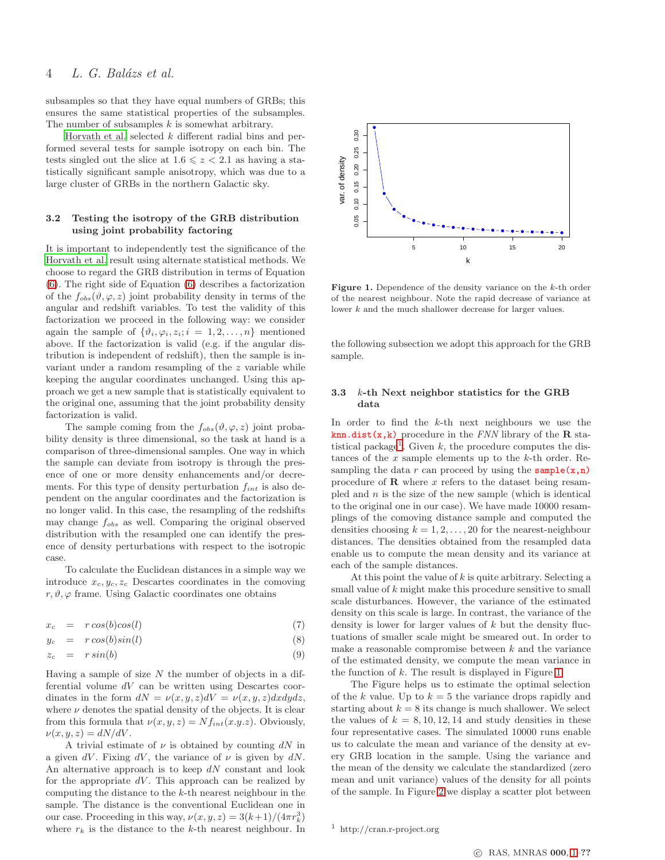# 4 L. G. Balázs et al.

subsamples so that they have equal numbers of GRBs; this ensures the same statistical properties of the subsamples. The number of subsamples  $k$  is somewhat arbitrary.

[Horvath et al.](#page-11-13) selected  $k$  different radial bins and performed several tests for sample isotropy on each bin. The tests singled out the slice at  $1.6 \leq z < 2.1$  as having a statistically significant sample anisotropy, which was due to a large cluster of GRBs in the northern Galactic sky.

# 3.2 Testing the isotropy of the GRB distribution using joint probability factoring

It is important to independently test the significance of the [Horvath et al.](#page-11-13) result using alternate statistical methods. We choose to regard the GRB distribution in terms of Equation [\(6\)](#page-2-1). The right side of Equation [\(6\)](#page-2-1) describes a factorization of the  $f_{obs}(\vartheta, \varphi, z)$  joint probability density in terms of the angular and redshift variables. To test the validity of this factorization we proceed in the following way: we consider again the sample of  $\{\vartheta_i, \varphi_i, z_i; i = 1, 2, \ldots, n\}$  mentioned above. If the factorization is valid (e.g. if the angular distribution is independent of redshift), then the sample is invariant under a random resampling of the z variable while keeping the angular coordinates unchanged. Using this approach we get a new sample that is statistically equivalent to the original one, assuming that the joint probability density factorization is valid.

The sample coming from the  $f_{obs}(\vartheta, \varphi, z)$  joint probability density is three dimensional, so the task at hand is a comparison of three-dimensional samples. One way in which the sample can deviate from isotropy is through the presence of one or more density enhancements and/or decrements. For this type of density perturbation  $f_{int}$  is also dependent on the angular coordinates and the factorization is no longer valid. In this case, the resampling of the redshifts may change  $f_{obs}$  as well. Comparing the original observed distribution with the resampled one can identify the presence of density perturbations with respect to the isotropic case.

To calculate the Euclidean distances in a simple way we introduce  $x_c, y_c, z_c$  Descartes coordinates in the comoving  $r, \vartheta, \varphi$  frame. Using Galactic coordinates one obtains

$$
x_c = r \cos(b) \cos(l) \tag{7}
$$

$$
y_c = r \cos(b) \sin(l) \tag{8}
$$

$$
z_c = r \sin(b) \tag{9}
$$

Having a sample of size  $N$  the number of objects in a differential volume  $dV$  can be written using Descartes coordinates in the form  $dN = \nu(x, y, z)dV = \nu(x, y, z)dxdydz$ , where  $\nu$  denotes the spatial density of the objects. It is clear from this formula that  $\nu(x, y, z) = Nf_{int}(x, y, z)$ . Obviously,  $\nu(x, y, z) = dN/dV.$ 

A trivial estimate of  $\nu$  is obtained by counting dN in a given dV. Fixing dV, the variance of  $\nu$  is given by dN. An alternative approach is to keep  $dN$  constant and look for the appropriate  $dV$ . This approach can be realized by computing the distance to the k-th nearest neighbour in the sample. The distance is the conventional Euclidean one in our case. Proceeding in this way,  $\nu(x, y, z) = 3(k+1)/(4\pi r_k^3)$ where  $r_k$  is the distance to the k-th nearest neighbour. In



<span id="page-3-1"></span>**Figure 1.** Dependence of the density variance on the  $k$ -th order of the nearest neighbour. Note the rapid decrease of variance at lower k and the much shallower decrease for larger values.

the following subsection we adopt this approach for the GRB sample.

# <span id="page-3-2"></span>3.3 k-th Next neighbor statistics for the GRB data

In order to find the  $k$ -th next neighbours we use the knn.dist $(x, k)$  procedure in the FNN library of the R sta-tistical package<sup>[1](#page-3-0)</sup>. Given k, the procedure computes the distances of the  $x$  sample elements up to the  $k$ -th order. Resampling the data r can proceed by using the sample $(x,n)$ procedure of  $\bf{R}$  where  $x$  refers to the dataset being resampled and  $n$  is the size of the new sample (which is identical to the original one in our case). We have made 10000 resamplings of the comoving distance sample and computed the densities choosing  $k = 1, 2, \ldots, 20$  for the nearest-neighbour distances. The densities obtained from the resampled data enable us to compute the mean density and its variance at each of the sample distances.

At this point the value of  $k$  is quite arbitrary. Selecting a small value of k might make this procedure sensitive to small scale disturbances. However, the variance of the estimated density on this scale is large. In contrast, the variance of the density is lower for larger values of  $k$  but the density fluctuations of smaller scale might be smeared out. In order to make a reasonable compromise between  $k$  and the variance of the estimated density, we compute the mean variance in the function of k. The result is displayed in Figure [1.](#page-3-1)

The Figure helps us to estimate the optimal selection of the k value. Up to  $k = 5$  the variance drops rapidly and starting about  $k = 8$  its change is much shallower. We select the values of  $k = 8, 10, 12, 14$  and study densities in these four representative cases. The simulated 10000 runs enable us to calculate the mean and variance of the density at every GRB location in the sample. Using the variance and the mean of the density we calculate the standardized (zero mean and unit variance) values of the density for all points of the sample. In Figure [2](#page-4-0) we display a scatter plot between

<span id="page-3-0"></span><sup>1</sup> http://cran.r-project.org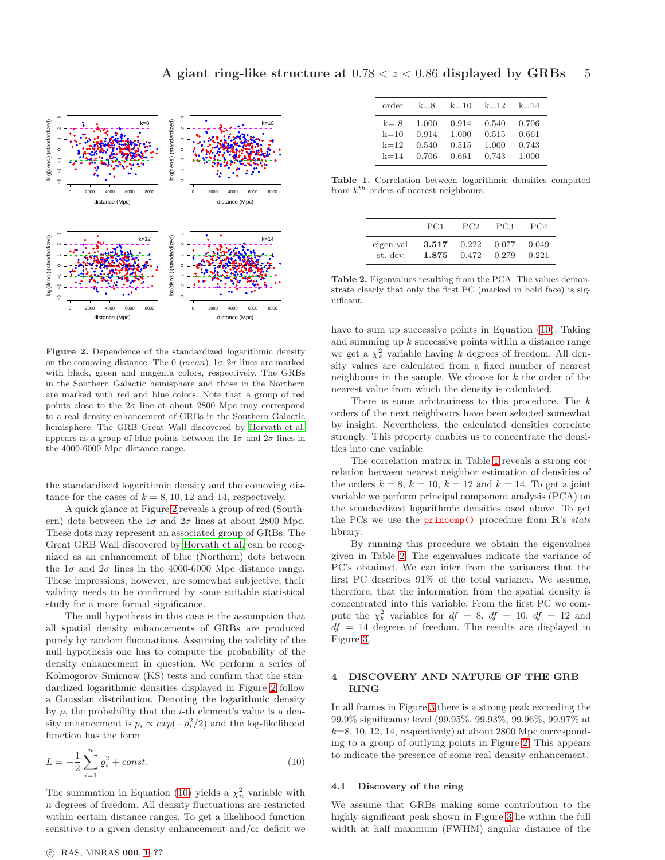

<span id="page-4-0"></span>Figure 2. Dependence of the standardized logarithmic density on the comoving distance. The 0  $(mean)$ ,  $1\sigma$ ,  $2\sigma$  lines are marked with black, green and magenta colors, respectively. The GRBs in the Southern Galactic hemisphere and those in the Northern are marked with red and blue colors. Note that a group of red points close to the  $2\sigma$  line at about 2800 Mpc may correspond to a real density enhancement of GRBs in the Southern Galactic hemisphere. The GRB Great Wall discovered by [Horvath et al.](#page-11-13) appears as a group of blue points between the  $1\sigma$  and  $2\sigma$  lines in the 4000-6000 Mpc distance range.

the standardized logarithmic density and the comoving distance for the cases of  $k = 8, 10, 12$  and 14, respectively.

A quick glance at Figure [2](#page-4-0) reveals a group of red (Southern) dots between the  $1\sigma$  and  $2\sigma$  lines at about 2800 Mpc. These dots may represent an associated group of GRBs. The Great GRB Wall discovered by [Horvath et al.](#page-11-13) can be recognized as an enhancement of blue (Northern) dots between the  $1\sigma$  and  $2\sigma$  lines in the 4000-6000 Mpc distance range. These impressions, however, are somewhat subjective, their validity needs to be confirmed by some suitable statistical study for a more formal significance.

The null hypothesis in this case is the assumption that all spatial density enhancements of GRBs are produced purely by random fluctuations. Assuming the validity of the null hypothesis one has to compute the probability of the density enhancement in question. We perform a series of Kolmogorov-Smirnow (KS) tests and confirm that the standardized logarithmic densities displayed in Figure [2](#page-4-0) follow a Gaussian distribution. Denoting the logarithmic density by  $\varrho$ , the probability that the *i*-th element's value is a density enhancement is  $p_i \propto exp(-\rho_i^2/2)$  and the log-likelihood function has the form

<span id="page-4-1"></span>
$$
L = -\frac{1}{2} \sum_{i=1}^{n} \varrho_i^2 + const.
$$
 (10)

The summation in Equation [\(10\)](#page-4-1) yields a  $\chi^2_n$  variable with n degrees of freedom. All density fluctuations are restricted within certain distance ranges. To get a likelihood function sensitive to a given density enhancement and/or deficit we

| order    | $k=8$ | $k=10$ | $k=12$ | $k=14$ |
|----------|-------|--------|--------|--------|
| $k=8$    | 1.000 | 0.914  | 0.540  | 0.706  |
| $k=10$   | 0.914 | 1.000  | 0.515  | 0.661  |
| $k=12$   | 0.540 | 0.515  | 1.000  | 0.743  |
| $k = 14$ | 0.706 | 0.661  | 0.743  | 1.000  |

Table 1. Correlation between logarithmic densities computed from  $k^{th}$  orders of nearest neighbours.

<span id="page-4-2"></span>

|                                            | PC1   | PC <sub>2</sub> | PC <sub>3</sub> | PC4            |
|--------------------------------------------|-------|-----------------|-----------------|----------------|
| eigen val. $3.517$ 0.222 0.077<br>st. dev. | 1.875 | 0.472           | 0.279           | 0.049<br>0.221 |

<span id="page-4-3"></span>Table 2. Eigenvalues resulting from the PCA. The values demonstrate clearly that only the first PC (marked in bold face) is significant.

have to sum up successive points in Equation [\(10\)](#page-4-1). Taking and summing up  $k$  successive points within a distance range we get a  $\chi^2_k$  variable having  $k$  degrees of freedom. All density values are calculated from a fixed number of nearest neighbours in the sample. We choose for  $k$  the order of the nearest value from which the density is calculated.

There is some arbitrariness to this procedure. The  $k$ orders of the next neighbours have been selected somewhat by insight. Nevertheless, the calculated densities correlate strongly. This property enables us to concentrate the densities into one variable.

The correlation matrix in Table [1](#page-4-2) reveals a strong correlation between nearest neighbor estimation of densities of the orders  $k = 8$ ,  $k = 10$ ,  $k = 12$  and  $k = 14$ . To get a joint variable we perform principal component analysis (PCA) on the standardized logarithmic densities used above. To get the PCs we use the  $\text{princomp}()$  procedure from  $\mathbb{R}$ 's stats library.

By running this procedure we obtain the eigenvalues given in Table [2.](#page-4-3) The eigenvalues indicate the variance of PC's obtained. We can infer from the variances that the first PC describes 91% of the total variance. We assume, therefore, that the information from the spatial density is concentrated into this variable. From the first PC we compute the  $\chi^2_k$  variables for  $df = 8$ ,  $df = 10$ ,  $df = 12$  and  $df = 14$  degrees of freedom. The results are displayed in Figure [3.](#page-5-0)

# 4 DISCOVERY AND NATURE OF THE GRB RING

In all frames in Figure [3](#page-5-0) there is a strong peak exceeding the 99.9% significance level (99.95%, 99.93%, 99.96%, 99.97% at  $k=8, 10, 12, 14$ , respectively) at about 2800 Mpc corresponding to a group of outlying points in Figure [2.](#page-4-0) This appears to indicate the presence of some real density enhancement.

## <span id="page-4-4"></span>4.1 Discovery of the ring

We assume that GRBs making some contribution to the highly significant peak shown in Figure [3](#page-5-0) lie within the full width at half maximum (FWHM) angular distance of the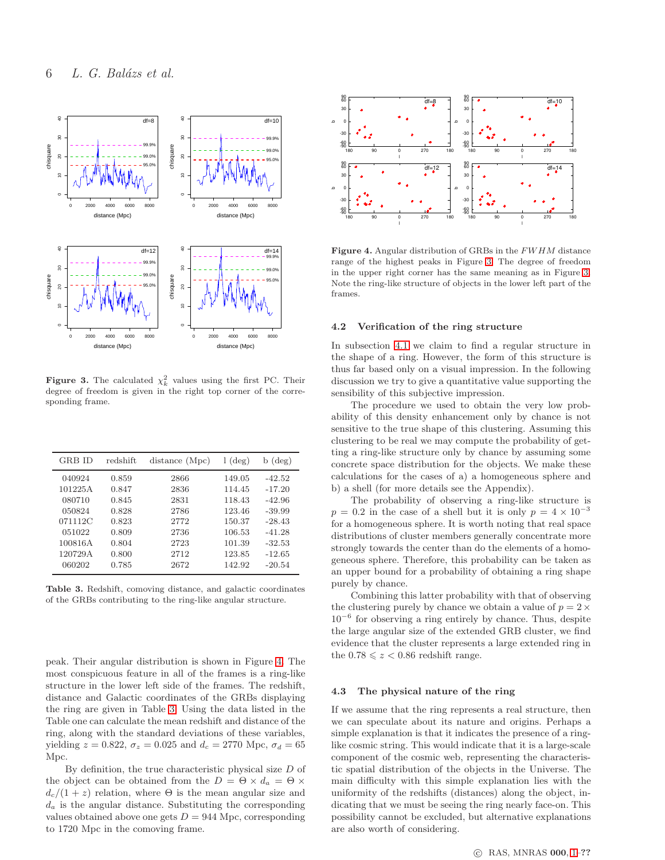

<span id="page-5-0"></span>**Figure 3.** The calculated  $\chi^2_k$  values using the first PC. Their degree of freedom is given in the right top corner of the corresponding frame.

| <b>GRB</b> ID | redshift | distance (Mpc) | $(\text{deg})$<br>L | $b$ (deg) |
|---------------|----------|----------------|---------------------|-----------|
| 040924        | 0.859    | 2866           | 149.05              | $-42.52$  |
| 101225A       | 0.847    | 2836           | 114.45              | $-17.20$  |
| 080710        | 0.845    | 2831           | 118.43              | $-42.96$  |
| 050824        | 0.828    | 2786           | 123.46              | $-39.99$  |
| 071112C       | 0.823    | 2772           | 150.37              | $-28.43$  |
| 051022        | 0.809    | 2736           | 106.53              | $-41.28$  |
| 100816A       | 0.804    | 2723           | 101.39              | $-32.53$  |
| 120729A       | 0.800    | 2712           | 123.85              | $-12.65$  |
| 060202        | 0.785    | 2672           | 142.92              | $-20.54$  |

<span id="page-5-2"></span>Table 3. Redshift, comoving distance, and galactic coordinates of the GRBs contributing to the ring-like angular structure.

peak. Their angular distribution is shown in Figure [4.](#page-5-1) The most conspicuous feature in all of the frames is a ring-like structure in the lower left side of the frames. The redshift, distance and Galactic coordinates of the GRBs displaying the ring are given in Table [3.](#page-5-2) Using the data listed in the Table one can calculate the mean redshift and distance of the ring, along with the standard deviations of these variables, yielding  $z = 0.822$ ,  $\sigma_z = 0.025$  and  $d_c = 2770$  Mpc,  $\sigma_d = 65$ Mpc.

By definition, the true characteristic physical size  $D$  of the object can be obtained from the  $D = \Theta \times d_a = \Theta \times d$  $d_c/(1+z)$  relation, where  $\Theta$  is the mean angular size and  $d_a$  is the angular distance. Substituting the corresponding values obtained above one gets  $D = 944$  Mpc, corresponding to 1720 Mpc in the comoving frame.



<span id="page-5-1"></span>Figure 4. Angular distribution of GRBs in the FW HM distance range of the highest peaks in Figure [3.](#page-5-0) The degree of freedom in the upper right corner has the same meaning as in Figure [3.](#page-5-0) Note the ring-like structure of objects in the lower left part of the frames.

#### 4.2 Verification of the ring structure

In subsection [4.1](#page-4-4) we claim to find a regular structure in the shape of a ring. However, the form of this structure is thus far based only on a visual impression. In the following discussion we try to give a quantitative value supporting the sensibility of this subjective impression.

The procedure we used to obtain the very low probability of this density enhancement only by chance is not sensitive to the true shape of this clustering. Assuming this clustering to be real we may compute the probability of getting a ring-like structure only by chance by assuming some concrete space distribution for the objects. We make these calculations for the cases of a) a homogeneous sphere and b) a shell (for more details see the Appendix).

The probability of observing a ring-like structure is  $p = 0.2$  in the case of a shell but it is only  $p = 4 \times 10^{-3}$ for a homogeneous sphere. It is worth noting that real space distributions of cluster members generally concentrate more strongly towards the center than do the elements of a homogeneous sphere. Therefore, this probability can be taken as an upper bound for a probability of obtaining a ring shape purely by chance.

Combining this latter probability with that of observing the clustering purely by chance we obtain a value of  $p = 2 \times$ 10<sup>−</sup><sup>6</sup> for observing a ring entirely by chance. Thus, despite the large angular size of the extended GRB cluster, we find evidence that the cluster represents a large extended ring in the  $0.78 \leq z < 0.86$  redshift range.

#### 4.3 The physical nature of the ring

If we assume that the ring represents a real structure, then we can speculate about its nature and origins. Perhaps a simple explanation is that it indicates the presence of a ringlike cosmic string. This would indicate that it is a large-scale component of the cosmic web, representing the characteristic spatial distribution of the objects in the Universe. The main difficulty with this simple explanation lies with the uniformity of the redshifts (distances) along the object, indicating that we must be seeing the ring nearly face-on. This possibility cannot be excluded, but alternative explanations are also worth of considering.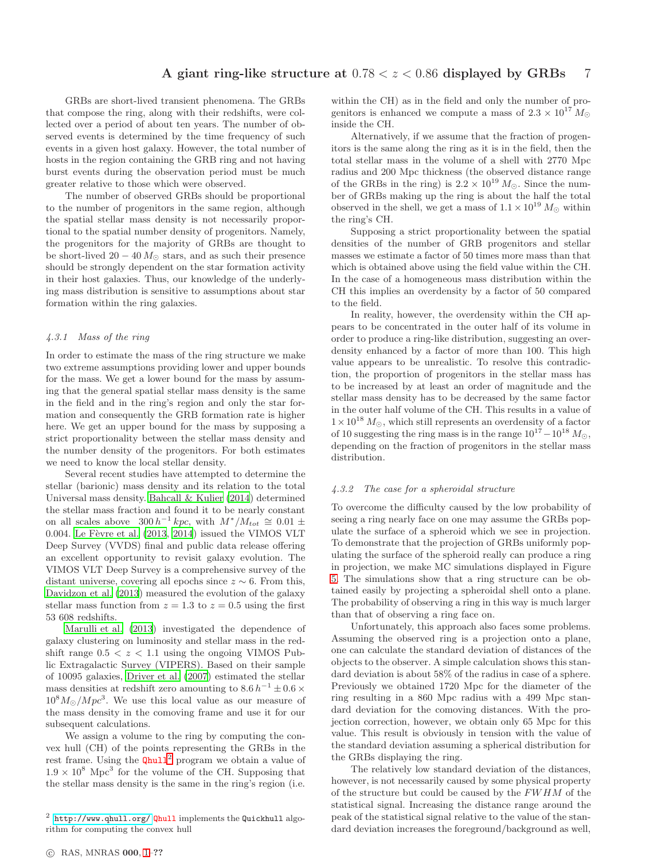GRBs are short-lived transient phenomena. The GRBs that compose the ring, along with their redshifts, were collected over a period of about ten years. The number of observed events is determined by the time frequency of such events in a given host galaxy. However, the total number of hosts in the region containing the GRB ring and not having burst events during the observation period must be much greater relative to those which were observed.

The number of observed GRBs should be proportional to the number of progenitors in the same region, although the spatial stellar mass density is not necessarily proportional to the spatial number density of progenitors. Namely, the progenitors for the majority of GRBs are thought to be short-lived  $20 - 40 M_{\odot}$  stars, and as such their presence should be strongly dependent on the star formation activity in their host galaxies. Thus, our knowledge of the underlying mass distribution is sensitive to assumptions about star formation within the ring galaxies.

#### <span id="page-6-1"></span>4.3.1 Mass of the ring

In order to estimate the mass of the ring structure we make two extreme assumptions providing lower and upper bounds for the mass. We get a lower bound for the mass by assuming that the general spatial stellar mass density is the same in the field and in the ring's region and only the star formation and consequently the GRB formation rate is higher here. We get an upper bound for the mass by supposing a strict proportionality between the stellar mass density and the number density of the progenitors. For both estimates we need to know the local stellar density.

Several recent studies have attempted to determine the stellar (barionic) mass density and its relation to the total Universal mass density. [Bahcall & Kulier \(2014](#page-10-9)) determined the stellar mass fraction and found it to be nearly constant on all scales above  $300 h^{-1} kpc$ , with  $M^*/M_{tot} \cong 0.01 \pm$ 0.004. Le Fèvre et al.  $(2013, 2014)$  $(2013, 2014)$  issued the VIMOS VLT Deep Survey (VVDS) final and public data release offering an excellent opportunity to revisit galaxy evolution. The VIMOS VLT Deep Survey is a comprehensive survey of the distant universe, covering all epochs since  $z \sim 6$ . From this, [Davidzon et al. \(2013](#page-10-10)) measured the evolution of the galaxy stellar mass function from  $z = 1.3$  to  $z = 0.5$  using the first 53 608 redshifts.

[Marulli et al. \(2013\)](#page-11-38) investigated the dependence of galaxy clustering on luminosity and stellar mass in the redshift range  $0.5 < z < 1.1$  using the ongoing VIMOS Public Extragalactic Survey (VIPERS). Based on their sample of 10095 galaxies, [Driver et al. \(2007](#page-10-11)) estimated the stellar mass densities at redshift zero amounting to  $8.6 h^{-1} \pm 0.6 \times$  $10^8 M_{\odot}/Mpc^3$ . We use this local value as our measure of the mass density in the comoving frame and use it for our subsequent calculations.

We assign a volume to the ring by computing the convex hull (CH) of the points representing the GRBs in the rest frame. Using the  $Qhull<sup>2</sup>$  $Qhull<sup>2</sup>$  $Qhull<sup>2</sup>$  program we obtain a value of  $1.9 \times 10^8$  Mpc<sup>3</sup> for the volume of the CH. Supposing that the stellar mass density is the same in the ring's region (i.e.

within the CH) as in the field and only the number of progenitors is enhanced we compute a mass of  $2.3 \times 10^{17} M_{\odot}$ inside the CH.

Alternatively, if we assume that the fraction of progenitors is the same along the ring as it is in the field, then the total stellar mass in the volume of a shell with 2770 Mpc radius and 200 Mpc thickness (the observed distance range of the GRBs in the ring) is  $2.2 \times 10^{19} M_{\odot}$ . Since the number of GRBs making up the ring is about the half the total observed in the shell, we get a mass of  $1.1 \times 10^{19} M_{\odot}$  within the ring's CH.

Supposing a strict proportionality between the spatial densities of the number of GRB progenitors and stellar masses we estimate a factor of 50 times more mass than that which is obtained above using the field value within the CH. In the case of a homogeneous mass distribution within the CH this implies an overdensity by a factor of 50 compared to the field.

In reality, however, the overdensity within the CH appears to be concentrated in the outer half of its volume in order to produce a ring-like distribution, suggesting an overdensity enhanced by a factor of more than 100. This high value appears to be unrealistic. To resolve this contradiction, the proportion of progenitors in the stellar mass has to be increased by at least an order of magnitude and the stellar mass density has to be decreased by the same factor in the outer half volume of the CH. This results in a value of  $1 \times 10^{18} M_{\odot}$ , which still represents an overdensity of a factor of 10 suggesting the ring mass is in the range  $10^{17} - 10^{18} M_{\odot}$ , depending on the fraction of progenitors in the stellar mass distribution.

#### <span id="page-6-2"></span>4.3.2 The case for a spheroidal structure

To overcome the difficulty caused by the low probability of seeing a ring nearly face on one may assume the GRBs populate the surface of a spheroid which we see in projection. To demonstrate that the projection of GRBs uniformly populating the surface of the spheroid really can produce a ring in projection, we make MC simulations displayed in Figure [5.](#page-7-0) The simulations show that a ring structure can be obtained easily by projecting a spheroidal shell onto a plane. The probability of observing a ring in this way is much larger than that of observing a ring face on.

Unfortunately, this approach also faces some problems. Assuming the observed ring is a projection onto a plane, one can calculate the standard deviation of distances of the objects to the observer. A simple calculation shows this standard deviation is about 58% of the radius in case of a sphere. Previously we obtained 1720 Mpc for the diameter of the ring resulting in a 860 Mpc radius with a 499 Mpc standard deviation for the comoving distances. With the projection correction, however, we obtain only 65 Mpc for this value. This result is obviously in tension with the value of the standard deviation assuming a spherical distribution for the GRBs displaying the ring.

The relatively low standard deviation of the distances, however, is not necessarily caused by some physical property of the structure but could be caused by the  $FWHM$  of the statistical signal. Increasing the distance range around the peak of the statistical signal relative to the value of the standard deviation increases the foreground/background as well,

<span id="page-6-0"></span> $2$  <http://www.qhull.org/> Qhull implements the Quickhull algorithm for computing the convex hull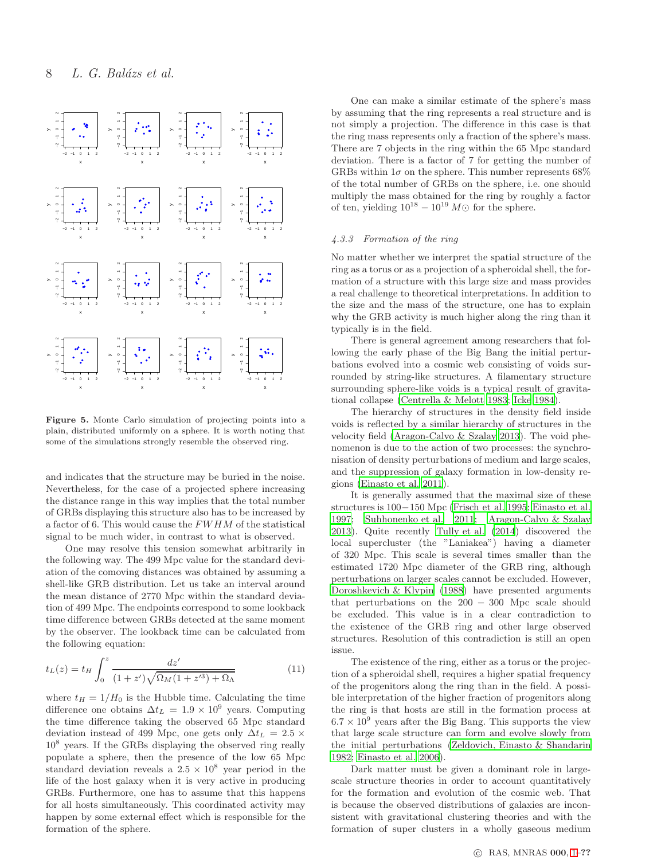

<span id="page-7-0"></span>Figure 5. Monte Carlo simulation of projecting points into a plain, distributed uniformly on a sphere. It is worth noting that some of the simulations strongly resemble the observed ring.

and indicates that the structure may be buried in the noise. Nevertheless, for the case of a projected sphere increasing the distance range in this way implies that the total number of GRBs displaying this structure also has to be increased by a factor of 6. This would cause the FW HM of the statistical signal to be much wider, in contrast to what is observed.

One may resolve this tension somewhat arbitrarily in the following way. The 499 Mpc value for the standard deviation of the comoving distances was obtained by assuming a shell-like GRB distribution. Let us take an interval around the mean distance of 2770 Mpc within the standard deviation of 499 Mpc. The endpoints correspond to some lookback time difference between GRBs detected at the same moment by the observer. The lookback time can be calculated from the following equation:

$$
t_L(z) = t_H \int_0^z \frac{dz'}{(1+z')\sqrt{\Omega_M(1+z'^3)+\Omega_\Lambda}} \tag{11}
$$

where  $t_H = 1/H_0$  is the Hubble time. Calculating the time difference one obtains  $\Delta t_L = 1.9 \times 10^9$  years. Computing the time difference taking the observed 65 Mpc standard deviation instead of 499 Mpc, one gets only  $\Delta t_L = 2.5 \times$ 10<sup>8</sup> years. If the GRBs displaying the observed ring really populate a sphere, then the presence of the low 65 Mpc standard deviation reveals a  $2.5 \times 10^8$  year period in the life of the host galaxy when it is very active in producing GRBs. Furthermore, one has to assume that this happens for all hosts simultaneously. This coordinated activity may happen by some external effect which is responsible for the formation of the sphere.

One can make a similar estimate of the sphere's mass by assuming that the ring represents a real structure and is not simply a projection. The difference in this case is that the ring mass represents only a fraction of the sphere's mass. There are 7 objects in the ring within the 65 Mpc standard deviation. There is a factor of 7 for getting the number of GRBs within  $1\sigma$  on the sphere. This number represents 68% of the total number of GRBs on the sphere, i.e. one should multiply the mass obtained for the ring by roughly a factor of ten, yielding  $10^{18} - 10^{19} M\odot$  for the sphere.

#### <span id="page-7-1"></span>4.3.3 Formation of the ring

No matter whether we interpret the spatial structure of the ring as a torus or as a projection of a spheroidal shell, the formation of a structure with this large size and mass provides a real challenge to theoretical interpretations. In addition to the size and the mass of the structure, one has to explain why the GRB activity is much higher along the ring than it typically is in the field.

There is general agreement among researchers that following the early phase of the Big Bang the initial perturbations evolved into a cosmic web consisting of voids surrounded by string-like structures. A filamentary structure surrounding sphere-like voids is a typical result of gravitational collapse [\(Centrella & Melott 1983](#page-10-12); [Icke 1984](#page-11-39)).

The hierarchy of structures in the density field inside voids is reflected by a similar hierarchy of structures in the velocity field [\(Aragon-Calvo & Szalay 2013\)](#page-10-13). The void phenomenon is due to the action of two processes: the synchronisation of density perturbations of medium and large scales, and the suppression of galaxy formation in low-density regions [\(Einasto et al. 2011\)](#page-11-40).

It is generally assumed that the maximal size of these structures is 100−150 Mpc [\(Frisch et al. 1995](#page-11-41); [Einasto et al.](#page-11-42) [1997](#page-11-42); [Suhhonenko et al. 2011](#page-11-43); [Aragon-Calvo & Szalay](#page-10-13) [2013](#page-10-13)). Quite recently [Tully et al. \(2014](#page-11-44)) discovered the local supercluster (the "Laniakea") having a diameter of 320 Mpc. This scale is several times smaller than the estimated 1720 Mpc diameter of the GRB ring, although perturbations on larger scales cannot be excluded. However, [Doroshkevich & Klypin \(1988\)](#page-10-14) have presented arguments that perturbations on the  $200 - 300$  Mpc scale should be excluded. This value is in a clear contradiction to the existence of the GRB ring and other large observed structures. Resolution of this contradiction is still an open issue.

The existence of the ring, either as a torus or the projection of a spheroidal shell, requires a higher spatial frequency of the progenitors along the ring than in the field. A possible interpretation of the higher fraction of progenitors along the ring is that hosts are still in the formation process at  $6.7 \times 10^9$  years after the Big Bang. This supports the view that large scale structure can form and evolve slowly from the initial perturbations [\(Zeldovich, Einasto & Shandarin](#page-11-45) [1982](#page-11-45); [Einasto et al. 2006](#page-11-46)).

Dark matter must be given a dominant role in largescale structure theories in order to account quantitatively for the formation and evolution of the cosmic web. That is because the observed distributions of galaxies are inconsistent with gravitational clustering theories and with the formation of super clusters in a wholly gaseous medium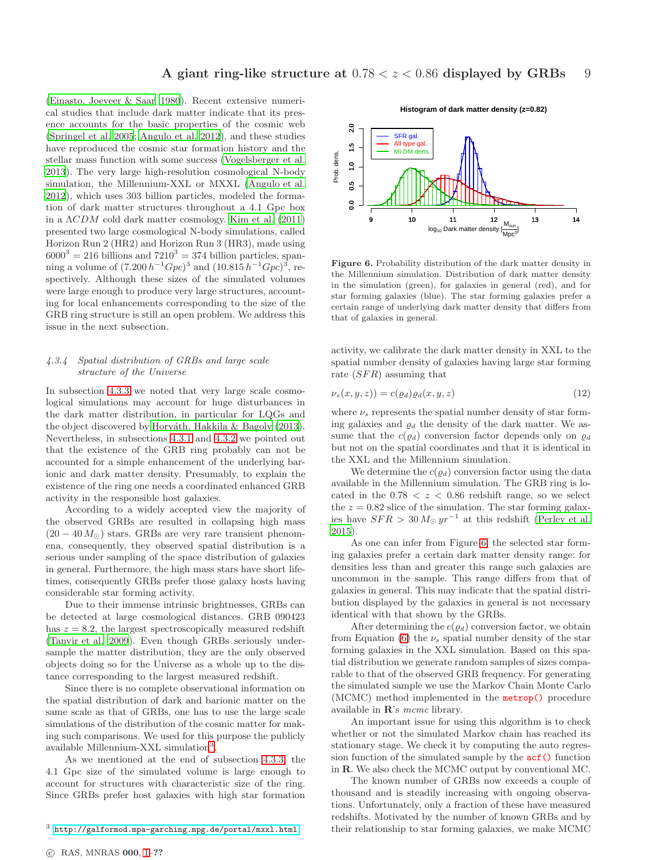[\(Einasto, Joeveer & Saar 1980](#page-11-47)). Recent extensive numerical studies that include dark matter indicate that its presence accounts for the basic properties of the cosmic web [\(Springel et al. 2005](#page-11-48); [Angulo et al. 2012\)](#page-10-15), and these studies have reproduced the cosmic star formation history and the stellar mass function with some success [\(Vogelsberger et al.](#page-11-49) [2013](#page-11-49)). The very large high-resolution cosmological N-body simulation, the Millennium-XXL or MXXL [\(Angulo et al.](#page-10-15) [2012](#page-10-15)), which uses 303 billion particles, modeled the formation of dark matter structures throughout a 4.1 Gpc box in a  $\Lambda CDM$  cold dark matter cosmology. [Kim et al. \(2011](#page-11-50)) presented two large cosmological N-body simulations, called Horizon Run 2 (HR2) and Horizon Run 3 (HR3), made using  $6000^3 = 216$  billions and  $7210^3 = 374$  billion particles, spanning a volume of  $(7.200 h^{-1}Gpc)^3$  and  $(10.815 h^{-1}Gpc)^3$ , respectively. Although these sizes of the simulated volumes were large enough to produce very large structures, accounting for local enhancements corresponding to the size of the GRB ring structure is still an open problem. We address this issue in the next subsection.

# 4.3.4 Spatial distribution of GRBs and large scale structure of the Universe

In subsection [4.3.3](#page-7-1) we noted that very large scale cosmological simulations may account for huge disturbances in the dark matter distribution, in particular for LQGs and the object discovered by Horváth, Hakkila & Bagoly (2013). Nevertheless, in subsections [4.3.1](#page-6-1) and [4.3.2](#page-6-2) we pointed out that the existence of the GRB ring probably can not be accounted for a simple enhancement of the underlying barionic and dark matter density. Presumably, to explain the existence of the ring one needs a coordinated enhanced GRB activity in the responsible host galaxies.

According to a widely accepted view the majority of the observed GRBs are resulted in collapsing high mass  $(20 - 40 M_{\odot})$  stars. GRBs are very rare transient phenomena, consequently, they observed spatial distribution is a serious under sampling of the space distribution of galaxies in general. Furthermore, the high mass stars have short lifetimes, consequently GRBs prefer those galaxy hosts having considerable star forming activity.

Due to their immense intrinsic brightnesses, GRBs can be detected at large cosmological distances. GRB 090423 has  $z = 8.2$ , the largest spectroscopically measured redshift [\(Tanvir et al. 2009\)](#page-11-51). Even though GRBs seriously undersample the matter distribution, they are the only observed objects doing so for the Universe as a whole up to the distance corresponding to the largest measured redshift.

Since there is no complete observational information on the spatial distribution of dark and barionic matter on the same scale as that of GRBs, one has to use the large scale simulations of the distribution of the cosmic matter for making such comparisons. We used for this purpose the publicly available Millennium-XXL simulation<sup>[3](#page-8-0)</sup>.

As we mentioned at the end of subsection [4.3.3,](#page-7-1) the 4.1 Gpc size of the simulated volume is large enough to account for structures with characteristic size of the ring. Since GRBs prefer host galaxies with high star formation

**Histogram of dark matter density (z=0.82)**



<span id="page-8-1"></span>Figure 6. Probability distribution of the dark matter density in the Millennium simulation. Distribution of dark matter density in the simulation (green), for galaxies in general (red), and for star forming galaxies (blue). The star forming galaxies prefer a certain range of underlying dark matter density that differs from that of galaxies in general.

activity, we calibrate the dark matter density in XXL to the spatial number density of galaxies having large star forming rate  $(SFR)$  assuming that

$$
\nu_s(x, y, z)) = c(\varrho_d)\varrho_d(x, y, z) \tag{12}
$$

where  $\nu_s$  represents the spatial number density of star forming galaxies and  $\rho_d$  the density of the dark matter. We assume that the  $c(\varrho_d)$  conversion factor depends only on  $\varrho_d$ but not on the spatial coordinates and that it is identical in the XXL and the Millennium simulation.

We determine the  $c(\varrho_d)$  conversion factor using the data available in the Millennium simulation. The GRB ring is located in the  $0.78 < z < 0.86$  redshift range, so we select the  $z = 0.82$  slice of the simulation. The star forming galaxies have  $SFR > 30 M_{\odot} yr^{-1}$  at this redshift [\(Perley et al.](#page-11-52) [2015](#page-11-52)).

As one can infer from Figure [6,](#page-8-1) the selected star forming galaxies prefer a certain dark matter density range: for densities less than and greater this range such galaxies are uncommon in the sample. This range differs from that of galaxies in general. This may indicate that the spatial distribution displayed by the galaxies in general is not necessary identical with that shown by the GRBs.

After determining the  $c(\varrho_d)$  conversion factor, we obtain from Equation [\(6\)](#page-8-1) the  $\nu_s$  spatial number density of the star forming galaxies in the XXL simulation. Based on this spatial distribution we generate random samples of sizes comparable to that of the observed GRB frequency. For generating the simulated sample we use the Markov Chain Monte Carlo (MCMC) method implemented in the metrop() procedure available in R's mcmc library.

An important issue for using this algorithm is to check whether or not the simulated Markov chain has reached its stationary stage. We check it by computing the auto regression function of the simulated sample by the acf() function in R. We also check the MCMC output by conventional MC.

The known number of GRBs now exceeds a couple of thousand and is steadily increasing with ongoing observations. Unfortunately, only a fraction of these have measured redshifts. Motivated by the number of known GRBs and by their relationship to star forming galaxies, we make MCMC

<span id="page-8-0"></span><sup>3</sup> <http://galformod.mpa-garching.mpg.de/portal/mxxl.html>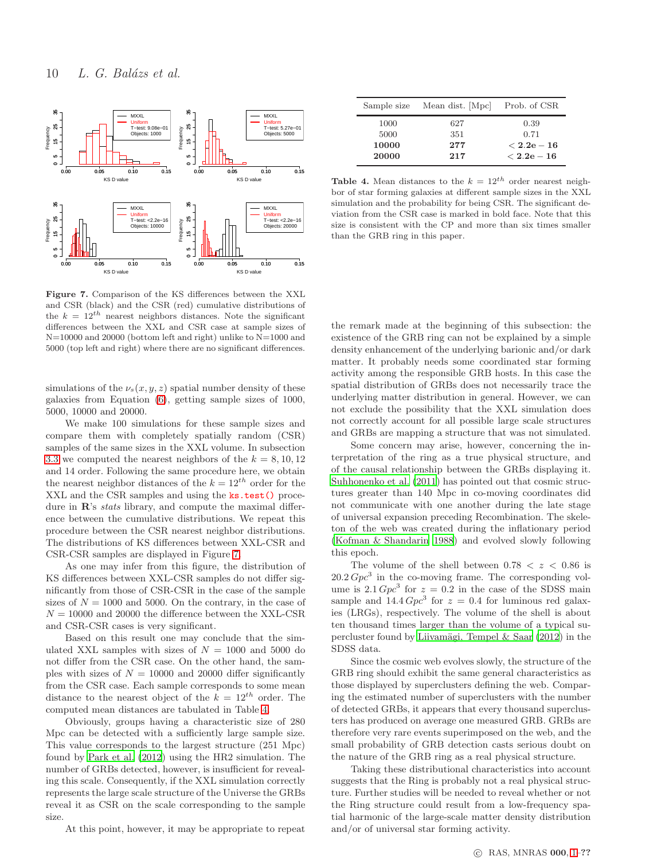

<span id="page-9-0"></span>Figure 7. Comparison of the KS differences between the XXL and CSR (black) and the CSR (red) cumulative distributions of the  $k = 12^{th}$  nearest neighbors distances. Note the significant differences between the XXL and CSR case at sample sizes of N=10000 and 20000 (bottom left and right) unlike to N=1000 and 5000 (top left and right) where there are no significant differences.

simulations of the  $\nu_s(x, y, z)$  spatial number density of these galaxies from Equation [\(6\)](#page-8-1), getting sample sizes of 1000, 5000, 10000 and 20000.

We make 100 simulations for these sample sizes and compare them with completely spatially random (CSR) samples of the same sizes in the XXL volume. In subsection [3.3](#page-3-2) we computed the nearest neighbors of the  $k = 8, 10, 12$ and 14 order. Following the same procedure here, we obtain the nearest neighbor distances of the  $k = 12^{th}$  order for the XXL and the CSR samples and using the ks.test() procedure in R's *stats* library, and compute the maximal difference between the cumulative distributions. We repeat this procedure between the CSR nearest neighbor distributions. The distributions of KS differences between XXL-CSR and CSR-CSR samples are displayed in Figure [7.](#page-9-0)

As one may infer from this figure, the distribution of KS differences between XXL-CSR samples do not differ significantly from those of CSR-CSR in the case of the sample sizes of  $N = 1000$  and 5000. On the contrary, in the case of  $N = 10000$  and 20000 the difference between the XXL-CSR and CSR-CSR cases is very significant.

Based on this result one may conclude that the simulated XXL samples with sizes of  $N = 1000$  and 5000 do not differ from the CSR case. On the other hand, the samples with sizes of  $N = 10000$  and 20000 differ significantly from the CSR case. Each sample corresponds to some mean distance to the nearest object of the  $k = 12^{th}$  order. The computed mean distances are tabulated in Table [4.](#page-9-1)

Obviously, groups having a characteristic size of 280 Mpc can be detected with a sufficiently large sample size. This value corresponds to the largest structure (251 Mpc) found by [Park et al. \(2012](#page-11-53)) using the HR2 simulation. The number of GRBs detected, however, is insufficient for revealing this scale. Consequently, if the XXL simulation correctly represents the large scale structure of the Universe the GRBs reveal it as CSR on the scale corresponding to the sample size.

At this point, however, it may be appropriate to repeat

| Sample size | Mean dist. [Mpc] | Prob. of CSR   |
|-------------|------------------|----------------|
| 1000        | 627              | 0.39           |
| 5000        | 351              | 0.71           |
| 10000       | 277              | $<\rm 2.2e-16$ |
| 20000       | 217              | $< 2.2e-16$    |

<span id="page-9-1"></span>Table 4. Mean distances to the  $k = 12^{th}$  order nearest neighbor of star forming galaxies at different sample sizes in the XXL simulation and the probability for being CSR. The significant deviation from the CSR case is marked in bold face. Note that this size is consistent with the CP and more than six times smaller than the GRB ring in this paper.

the remark made at the beginning of this subsection: the existence of the GRB ring can not be explained by a simple density enhancement of the underlying barionic and/or dark matter. It probably needs some coordinated star forming activity among the responsible GRB hosts. In this case the spatial distribution of GRBs does not necessarily trace the underlying matter distribution in general. However, we can not exclude the possibility that the XXL simulation does not correctly account for all possible large scale structures and GRBs are mapping a structure that was not simulated.

Some concern may arise, however, concerning the interpretation of the ring as a true physical structure, and of the causal relationship between the GRBs displaying it. [Suhhonenko et al. \(2011\)](#page-11-43) has pointed out that cosmic structures greater than 140 Mpc in co-moving coordinates did not communicate with one another during the late stage of universal expansion preceding Recombination. The skeleton of the web was created during the inflationary period [\(Kofman & Shandarin 1988\)](#page-11-54) and evolved slowly following this epoch.

The volume of the shell between  $0.78 < z < 0.86$  is  $20.2 Gpc<sup>3</sup>$  in the co-moving frame. The corresponding volume is  $2.1 Gpc<sup>3</sup>$  for  $z = 0.2$  in the case of the SDSS main sample and  $14.4 Gpc<sup>3</sup>$  for  $z = 0.4$  for luminous red galaxies (LRGs), respectively. The volume of the shell is about ten thousand times larger than the volume of a typical supercluster found by Liivamägi, Tempel & Saar  $(2012)$  in the SDSS data.

Since the cosmic web evolves slowly, the structure of the GRB ring should exhibit the same general characteristics as those displayed by superclusters defining the web. Comparing the estimated number of superclusters with the number of detected GRBs, it appears that every thousand superclusters has produced on average one measured GRB. GRBs are therefore very rare events superimposed on the web, and the small probability of GRB detection casts serious doubt on the nature of the GRB ring as a real physical structure.

Taking these distributional characteristics into account suggests that the Ring is probably not a real physical structure. Further studies will be needed to reveal whether or not the Ring structure could result from a low-frequency spatial harmonic of the large-scale matter density distribution and/or of universal star forming activity.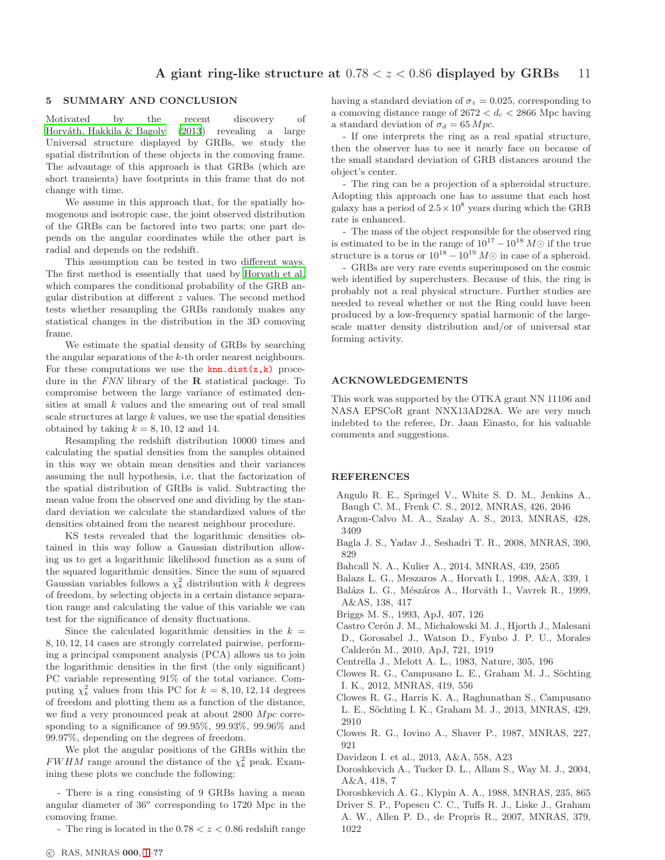# 5 SUMMARY AND CONCLUSION

Motivated by the recent discovery of Horváth, Hakkila & Bagoly (2013) revealing a large Universal structure displayed by GRBs, we study the spatial distribution of these objects in the comoving frame. The advantage of this approach is that GRBs (which are short transients) have footprints in this frame that do not change with time.

We assume in this approach that, for the spatially homogenous and isotropic case, the joint observed distribution of the GRBs can be factored into two parts: one part depends on the angular coordinates while the other part is radial and depends on the redshift.

This assumption can be tested in two different ways. The first method is essentially that used by [Horvath et al.](#page-11-13) which compares the conditional probability of the GRB angular distribution at different z values. The second method tests whether resampling the GRBs randomly makes any statistical changes in the distribution in the 3D comoving frame.

We estimate the spatial density of GRBs by searching the angular separations of the k-th order nearest neighbours. For these computations we use the  $knn.dist(x,k)$  procedure in the FNN library of the R statistical package. To compromise between the large variance of estimated densities at small  $k$  values and the smearing out of real small scale structures at large  $k$  values, we use the spatial densities obtained by taking  $k = 8, 10, 12$  and 14.

Resampling the redshift distribution 10000 times and calculating the spatial densities from the samples obtained in this way we obtain mean densities and their variances assuming the null hypothesis, i.e. that the factorization of the spatial distribution of GRBs is valid. Subtracting the mean value from the observed one and dividing by the standard deviation we calculate the standardized values of the densities obtained from the nearest neighbour procedure.

KS tests revealed that the logarithmic densities obtained in this way follow a Gaussian distribution allowing us to get a logarithmic likelihood function as a sum of the squared logarithmic densities. Since the sum of squared Gaussian variables follows a  $\chi^2_k$  distribution with k degrees of freedom, by selecting objects in a certain distance separation range and calculating the value of this variable we can test for the significance of density fluctuations.

Since the calculated logarithmic densities in the  $k =$ 8, 10, 12, 14 cases are strongly correlated pairwise, performing a principal component analysis (PCA) allows us to join the logarithmic densities in the first (the only significant) PC variable representing 91% of the total variance. Computing  $\chi_k^2$  values from this PC for  $k = 8, 10, 12, 14$  degrees of freedom and plotting them as a function of the distance, we find a very pronounced peak at about  $2800$  Mpc corresponding to a significance of 99.95%, 99.93%, 99.96% and 99.97%, depending on the degrees of freedom.

We plot the angular positions of the GRBs within the  $FWHM$  range around the distance of the  $\chi^2_k$  peak. Examining these plots we conclude the following:

- There is a ring consisting of 9 GRBs having a mean angular diameter of  $36^{\circ}$  corresponding to 1720 Mpc in the comoving frame.

- The ring is located in the  $0.78 < z < 0.86$  redshift range

having a standard deviation of  $\sigma_z = 0.025$ , corresponding to a comoving distance range of  $2672 < d_c < 2866$  Mpc having a standard deviation of  $\sigma_d = 65 \, Mpc$ .

- If one interprets the ring as a real spatial structure, then the observer has to see it nearly face on because of the small standard deviation of GRB distances around the object's center.

- The ring can be a projection of a spheroidal structure. Adopting this approach one has to assume that each host galaxy has a period of  $2.5 \times 10^8$  years during which the GRB rate is enhanced.

- The mass of the object responsible for the observed ring is estimated to be in the range of  $10^{17} - 10^{18} M\odot$  if the true structure is a torus or  $10^{18} - 10^{19} M\odot$  in case of a spheroid.

- GRBs are very rare events superimposed on the cosmic web identified by superclusters. Because of this, the ring is probably not a real physical structure. Further studies are needed to reveal whether or not the Ring could have been produced by a low-frequency spatial harmonic of the largescale matter density distribution and/or of universal star forming activity.

## ACKNOWLEDGEMENTS

This work was supported by the OTKA grant NN 11106 and NASA EPSCoR grant NNX13AD28A. We are very much indebted to the referee, Dr. Jaan Einasto, for his valuable comments and suggestions.

## **REFERENCES**

- <span id="page-10-15"></span>Angulo R. E., Springel V., White S. D. M., Jenkins A., Baugh C. M., Frenk C. S., 2012, MNRAS, 426, 2046
- <span id="page-10-13"></span>Aragon-Calvo M. A., Szalay A. S., 2013, MNRAS, 428, 3409
- <span id="page-10-3"></span>Bagla J. S., Yadav J., Seshadri T. R., 2008, MNRAS, 390, 829
- <span id="page-10-9"></span>Bahcall N. A., Kulier A., 2014, MNRAS, 439, 2505
- <span id="page-10-7"></span>Balazs L. G., Meszaros A., Horvath I., 1998, A&A, 339, 1
- <span id="page-10-8"></span>Balázs L. G., Mészáros A., Horváth I., Vavrek R., 1999, A&AS, 138, 417
- <span id="page-10-6"></span>Briggs M. S., 1993, ApJ, 407, 126
- <span id="page-10-2"></span>Castro Cerón J. M., Michałowski M. J., Hjorth J., Malesani D., Gorosabel J., Watson D., Fynbo J. P. U., Morales Calderón M., 2010, ApJ, 721, 1919
- <span id="page-10-12"></span>Centrella J., Melott A. L., 1983, Nature, 305, 196
- <span id="page-10-0"></span>Clowes R. G., Campusano L. E., Graham M. J., Söchting I. K., 2012, MNRAS, 419, 556
- <span id="page-10-1"></span>Clowes R. G., Harris K. A., Raghunathan S., Campusano L. E., Söchting I. K., Graham M. J., 2013, MNRAS, 429, 2910
- <span id="page-10-4"></span>Clowes R. G., Iovino A., Shaver P., 1987, MNRAS, 227, 921
- <span id="page-10-10"></span>Davidzon I. et al., 2013, A&A, 558, A23

1022

- <span id="page-10-5"></span>Doroshkevich A., Tucker D. L., Allam S., Way M. J., 2004, A&A, 418, 7
- <span id="page-10-14"></span>Doroshkevich A. G., Klypin A. A., 1988, MNRAS, 235, 865
- <span id="page-10-11"></span>Driver S. P., Popescu C. C., Tuffs R. J., Liske J., Graham A. W., Allen P. D., de Propris R., 2007, MNRAS, 379,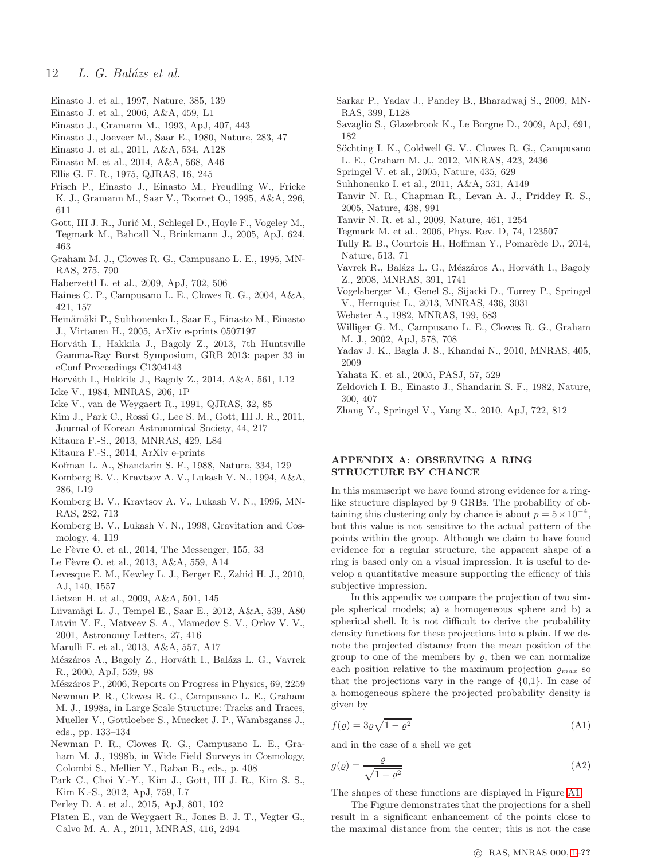- <span id="page-11-42"></span>Einasto J. et al., 1997, Nature, 385, 139
- <span id="page-11-46"></span>Einasto J. et al., 2006, A&A, 459, L1
- <span id="page-11-19"></span>Einasto J., Gramann M., 1993, ApJ, 407, 443
- <span id="page-11-47"></span>Einasto J., Joeveer M., Saar E., 1980, Nature, 283, 47
- <span id="page-11-40"></span>Einasto J. et al., 2011, A&A, 534, A128
- <span id="page-11-12"></span>Einasto M. et al., 2014, A&A, 568, A46
- <span id="page-11-18"></span>Ellis G. F. R., 1975, QJRAS, 16, 245
- <span id="page-11-41"></span>Frisch P., Einasto J., Einasto M., Freudling W., Fricke K. J., Gramann M., Saar V., Toomet O., 1995, A&A, 296, 611
- <span id="page-11-2"></span>Gott, III J. R., Jurić M., Schlegel D., Hoyle F., Vogeley M.,
- Tegmark M., Bahcall N., Brinkmann J., 2005, ApJ, 624, 463
- <span id="page-11-27"></span>Graham M. J., Clowes R. G., Campusano L. E., 1995, MN-RAS, 275, 790
- <span id="page-11-10"></span>Haberzettl L. et al., 2009, ApJ, 702, 506
- <span id="page-11-11"></span>Haines C. P., Campusano L. E., Clowes R. G., 2004, A&A, 421, 157
- <span id="page-11-0"></span>Heinämäki P., Suhhonenko I., Saar E., Einasto M., Einasto J., Virtanen H., 2005, ArXiv e-prints 0507197
- <span id="page-11-13"></span>Horváth I., Hakkila J., Bagoly Z., 2013, 7th Huntsville Gamma-Ray Burst Symposium, GRB 2013: paper 33 in eConf Proceedings C1304143
- <span id="page-11-14"></span>Horv´ath I., Hakkila J., Bagoly Z., 2014, A&A, 561, L12
- <span id="page-11-39"></span>Icke V., 1984, MNRAS, 206, 1P
- <span id="page-11-26"></span>Icke V., van de Weygaert R., 1991, QJRAS, 32, 85
- <span id="page-11-50"></span>Kim J., Park C., Rossi G., Lee S. M., Gott, III J. R., 2011, Journal of Korean Astronomical Society, 44, 217
- <span id="page-11-30"></span>Kitaura F.-S., 2013, MNRAS, 429, L84
- <span id="page-11-31"></span>Kitaura F.-S., 2014, ArXiv e-prints
- <span id="page-11-54"></span>Kofman L. A., Shandarin S. F., 1988, Nature, 334, 129
- <span id="page-11-4"></span>Komberg B. V., Kravtsov A. V., Lukash V. N., 1994, A&A, 286, L19
- <span id="page-11-5"></span>Komberg B. V., Kravtsov A. V., Lukash V. N., 1996, MN-RAS, 282, 713
- <span id="page-11-6"></span>Komberg B. V., Lukash V. N., 1998, Gravitation and Cosmology, 4, 119
- <span id="page-11-37"></span>Le Fèvre O. et al., 2014, The Messenger, 155, 33
- <span id="page-11-36"></span>Le Fèvre O. et al., 2013, A&A, 559, A14
- <span id="page-11-17"></span>Levesque E. M., Kewley L. J., Berger E., Zahid H. J., 2010, AJ, 140, 1557
- <span id="page-11-1"></span>Lietzen H. et al., 2009, A&A, 501, 145
- <span id="page-11-22"></span>Liivamägi L. J., Tempel E., Saar E., 2012, A&A, 539, A80
- <span id="page-11-33"></span>Litvin V. F., Matveev S. A., Mamedov S. V., Orlov V. V., 2001, Astronomy Letters, 27, 416
- <span id="page-11-38"></span>Marulli F. et al., 2013, A&A, 557, A17
- <span id="page-11-32"></span>Mészáros A., Bagoly Z., Horváth I., Balázs L. G., Vavrek R., 2000, ApJ, 539, 98
- <span id="page-11-15"></span>Mészáros P., 2006, Reports on Progress in Physics, 69, 2259
- <span id="page-11-7"></span>Newman P. R., Clowes R. G., Campusano L. E., Graham M. J., 1998a, in Large Scale Structure: Tracks and Traces, Mueller V., Gottloeber S., Muecket J. P., Wambsganss J., eds., pp. 133–134
- <span id="page-11-8"></span>Newman P. R., Clowes R. G., Campusano L. E., Graham M. J., 1998b, in Wide Field Surveys in Cosmology, Colombi S., Mellier Y., Raban B., eds., p. 408
- <span id="page-11-53"></span>Park C., Choi Y.-Y., Kim J., Gott, III J. R., Kim S. S., Kim K.-S., 2012, ApJ, 759, L7
- <span id="page-11-52"></span>Perley D. A. et al., 2015, ApJ, 801, 102
- <span id="page-11-28"></span>Platen E., van de Weygaert R., Jones B. J. T., Vegter G., Calvo M. A. A., 2011, MNRAS, 416, 2494
- <span id="page-11-23"></span>Sarkar P., Yadav J., Pandey B., Bharadwaj S., 2009, MN-RAS, 399, L128
- <span id="page-11-16"></span>Savaglio S., Glazebrook K., Le Borgne D., 2009, ApJ, 691, 182
- <span id="page-11-25"></span>Söchting I. K., Coldwell G. V., Clowes R. G., Campusano L. E., Graham M. J., 2012, MNRAS, 423, 2436
- <span id="page-11-48"></span>Springel V. et al., 2005, Nature, 435, 629
- <span id="page-11-43"></span>Suhhonenko I. et al., 2011, A&A, 531, A149
- <span id="page-11-34"></span>Tanvir N. R., Chapman R., Levan A. J., Priddey R. S., 2005, Nature, 438, 991
- <span id="page-11-51"></span>Tanvir N. R. et al., 2009, Nature, 461, 1254
- <span id="page-11-21"></span>Tegmark M. et al., 2006, Phys. Rev. D, 74, 123507
- <span id="page-11-44"></span>Tully R. B., Courtois H., Hoffman Y., Pomarède D., 2014, Nature, 513, 71
- <span id="page-11-35"></span>Vavrek R., Balázs L. G., Mészáros A., Horváth I., Bagoly Z., 2008, MNRAS, 391, 1741
- <span id="page-11-49"></span>Vogelsberger M., Genel S., Sijacki D., Torrey P., Springel V., Hernquist L., 2013, MNRAS, 436, 3031
- <span id="page-11-3"></span>Webster A., 1982, MNRAS, 199, 683
- <span id="page-11-9"></span>Williger G. M., Campusano L. E., Clowes R. G., Graham M. J., 2002, ApJ, 578, 708
- <span id="page-11-24"></span>Yadav J. K., Bagla J. S., Khandai N., 2010, MNRAS, 405, 2009
- <span id="page-11-20"></span>Yahata K. et al., 2005, PASJ, 57, 529
- <span id="page-11-45"></span>Zeldovich I. B., Einasto J., Shandarin S. F., 1982, Nature, 300, 407
- <span id="page-11-29"></span>Zhang Y., Springel V., Yang X., 2010, ApJ, 722, 812

# APPENDIX A: OBSERVING A RING STRUCTURE BY CHANCE

In this manuscript we have found strong evidence for a ringlike structure displayed by 9 GRBs. The probability of obtaining this clustering only by chance is about  $p = 5 \times 10^{-4}$ , but this value is not sensitive to the actual pattern of the points within the group. Although we claim to have found evidence for a regular structure, the apparent shape of a ring is based only on a visual impression. It is useful to develop a quantitative measure supporting the efficacy of this subjective impression.

In this appendix we compare the projection of two simple spherical models; a) a homogeneous sphere and b) a spherical shell. It is not difficult to derive the probability density functions for these projections into a plain. If we denote the projected distance from the mean position of the group to one of the members by  $\rho$ , then we can normalize each position relative to the maximum projection  $_{\varrho_{max}}$  so that the projections vary in the range of  $\{0,1\}$ . In case of a homogeneous sphere the projected probability density is given by

$$
f(\varrho) = 3\varrho\sqrt{1 - \varrho^2} \tag{A1}
$$

and in the case of a shell we get

$$
g(\varrho) = \frac{\varrho}{\sqrt{1 - \varrho^2}}\tag{A2}
$$

The shapes of these functions are displayed in Figure [A1.](#page-12-0)

The Figure demonstrates that the projections for a shell result in a significant enhancement of the points close to the maximal distance from the center; this is not the case